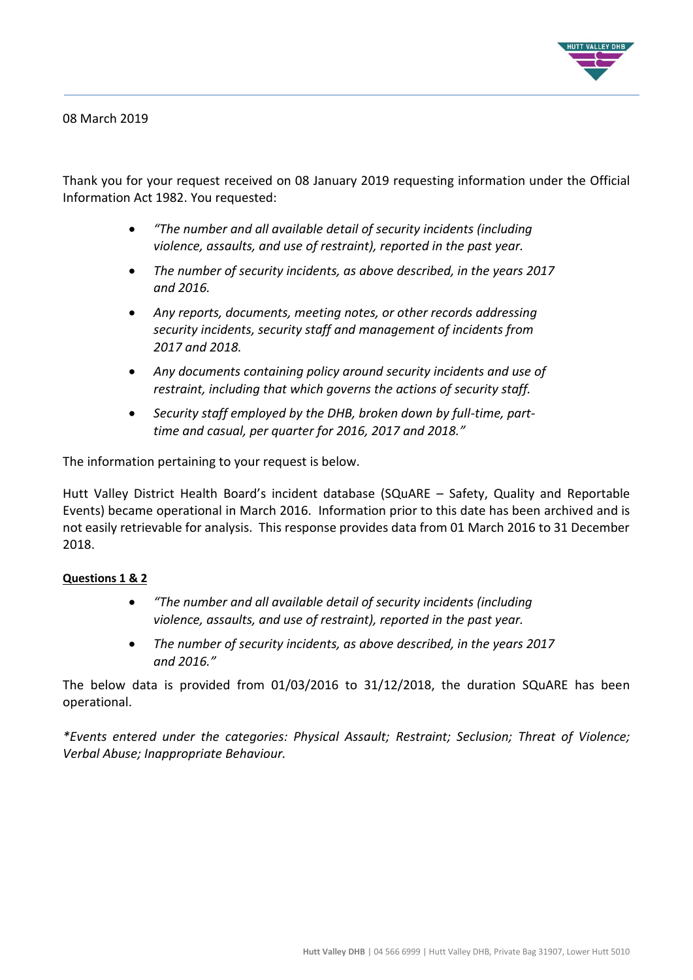

08 March 2019

Thank you for your request received on 08 January 2019 requesting information under the Official Information Act 1982. You requested:

- *"The number and all available detail of security incidents (including violence, assaults, and use of restraint), reported in the past year.*
- *The number of security incidents, as above described, in the years 2017 and 2016.*
- *Any reports, documents, meeting notes, or other records addressing security incidents, security staff and management of incidents from 2017 and 2018.*
- *Any documents containing policy around security incidents and use of restraint, including that which governs the actions of security staff.*
- *Security staff employed by the DHB, broken down by full-time, parttime and casual, per quarter for 2016, 2017 and 2018."*

The information pertaining to your request is below.

Hutt Valley District Health Board's incident database (SQuARE – Safety, Quality and Reportable Events) became operational in March 2016. Information prior to this date has been archived and is not easily retrievable for analysis. This response provides data from 01 March 2016 to 31 December 2018.

## **Questions 1 & 2**

- *"The number and all available detail of security incidents (including violence, assaults, and use of restraint), reported in the past year.*
- *The number of security incidents, as above described, in the years 2017 and 2016."*

The below data is provided from 01/03/2016 to 31/12/2018, the duration SQuARE has been operational.

*\*Events entered under the categories: Physical Assault; Restraint; Seclusion; Threat of Violence; Verbal Abuse; Inappropriate Behaviour.*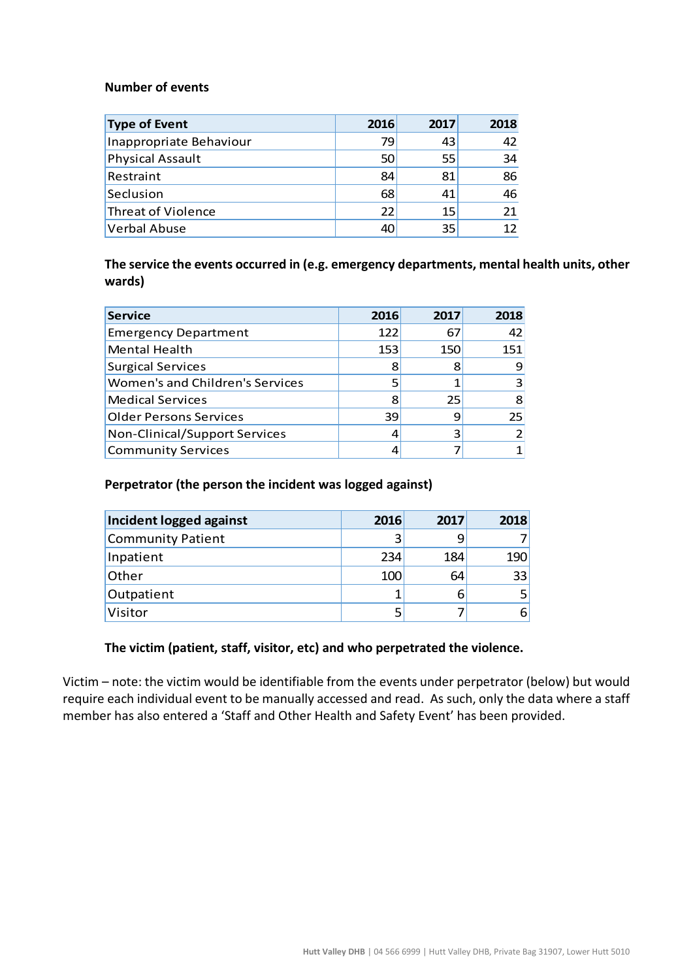# **Number of events**

| <b>Type of Event</b>    | 2016 | 2017 | 2018 |
|-------------------------|------|------|------|
| Inappropriate Behaviour | 79   | 43   | 42   |
| <b>Physical Assault</b> | 50   | 55   | 34   |
| Restraint               | 84   | 81   | 86   |
| Seclusion               | 68   | 41   | 46   |
| Threat of Violence      | 22   | 15   | 21   |
| <b>Verbal Abuse</b>     | 40   | 35   | 12   |

**The service the events occurred in (e.g. emergency departments, mental health units, other wards)**

| <b>Service</b>                         | 2016 | 2017 | 2018 |
|----------------------------------------|------|------|------|
| <b>Emergency Department</b>            | 122  | 67   | 42   |
| Mental Health                          | 153  | 150  | 151  |
| Surgical Services                      | 8    | 8    |      |
| <b>Women's and Children's Services</b> |      |      |      |
| <b>Medical Services</b>                | 8    | 25   | 8    |
| <b>Older Persons Services</b>          | 39   |      | 25   |
| Non-Clinical/Support Services          |      |      |      |
| Community Services                     |      |      |      |

#### **Perpetrator (the person the incident was logged against)**

| Incident logged against | 2016 | 2017 | 2018 |
|-------------------------|------|------|------|
| Community Patient       |      |      |      |
| Inpatient               | 234  | 184  | 190  |
| Other                   | 100  | 64   | 33   |
| Outpatient              |      |      |      |
| Visitor                 |      |      | ь    |

## **The victim (patient, staff, visitor, etc) and who perpetrated the violence.**

Victim – note: the victim would be identifiable from the events under perpetrator (below) but would require each individual event to be manually accessed and read. As such, only the data where a staff member has also entered a 'Staff and Other Health and Safety Event' has been provided.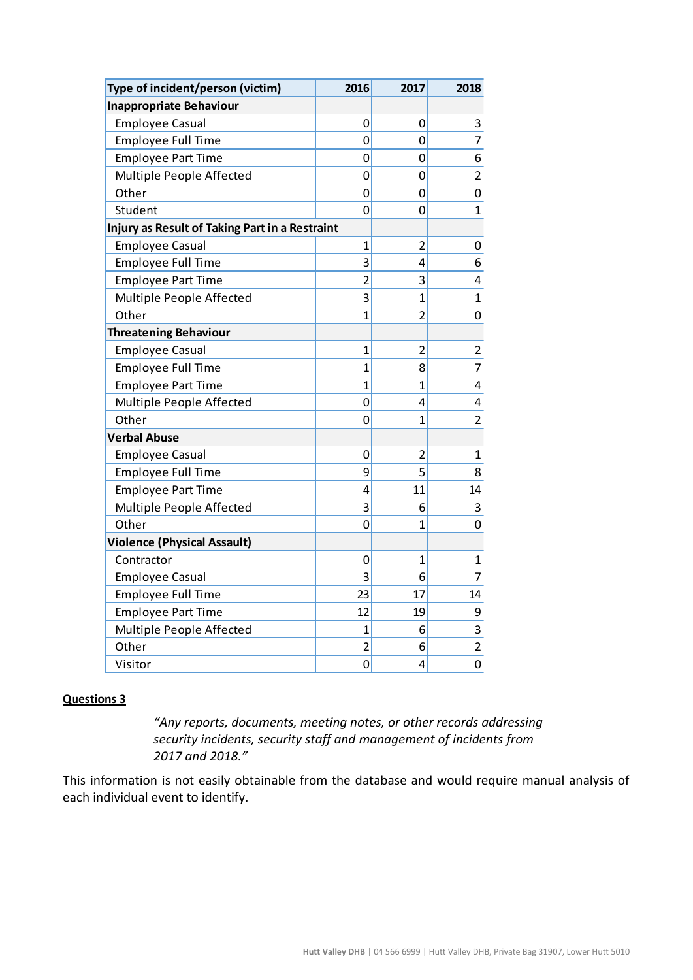| Type of incident/person (victim)               | 2016           | 2017                    | 2018           |
|------------------------------------------------|----------------|-------------------------|----------------|
| <b>Inappropriate Behaviour</b>                 |                |                         |                |
| <b>Employee Casual</b>                         | 0              | $\mathbf 0$             | 3              |
| <b>Employee Full Time</b>                      | 0              | $\overline{0}$          | 7              |
| <b>Employee Part Time</b>                      | 0              | 0                       | 6              |
| Multiple People Affected                       | 0              | $\mathbf 0$             | 2              |
| Other                                          | 0              | $\mathbf 0$             | 0              |
| Student                                        | 0              | 0                       | 1              |
| Injury as Result of Taking Part in a Restraint |                |                         |                |
| <b>Employee Casual</b>                         | $\mathbf{1}$   | $\overline{2}$          | 0              |
| <b>Employee Full Time</b>                      | 3              | $\overline{4}$          | 6              |
| <b>Employee Part Time</b>                      | $\overline{2}$ | 3                       | 4              |
| Multiple People Affected                       | 3              | $\overline{1}$          | 1              |
| Other                                          | $\overline{1}$ | $\overline{2}$          | 0              |
| <b>Threatening Behaviour</b>                   |                |                         |                |
| <b>Employee Casual</b>                         | $\mathbf{1}$   | $\overline{\mathbf{c}}$ | 2              |
| <b>Employee Full Time</b>                      | $\mathbf{1}$   | 8                       | 7              |
| <b>Employee Part Time</b>                      | $\mathbf{1}$   | $\mathbf{1}$            | 4              |
| Multiple People Affected                       | 0              | 4                       | 4              |
| Other                                          | 0              | $\overline{1}$          | $\overline{2}$ |
| <b>Verbal Abuse</b>                            |                |                         |                |
| <b>Employee Casual</b>                         | 0              | $\overline{2}$          | 1              |
| Employee Full Time                             | 9              | 5                       | 8              |
| <b>Employee Part Time</b>                      | 4              | 11                      | 14             |
| Multiple People Affected                       | 3              | 6                       | 3              |
| Other                                          | 0              | $\overline{1}$          | 0              |
| <b>Violence (Physical Assault)</b>             |                |                         |                |
| Contractor                                     | 0              | $\mathbf{1}$            | 1              |
| <b>Employee Casual</b>                         | 3              | $6 \mid$                | 7              |
| <b>Employee Full Time</b>                      | 23             | 17                      | 14             |
| <b>Employee Part Time</b>                      | 12             | 19                      | 9              |
| Multiple People Affected                       | $\mathbf{1}$   | 6                       | 3              |
| Other                                          | $\overline{2}$ | 6                       | $\overline{2}$ |
| Visitor                                        | 0              | $\overline{\mathbf{4}}$ | $\mathbf 0$    |

#### **Questions 3**

*"Any reports, documents, meeting notes, or other records addressing security incidents, security staff and management of incidents from 2017 and 2018."*

This information is not easily obtainable from the database and would require manual analysis of each individual event to identify.